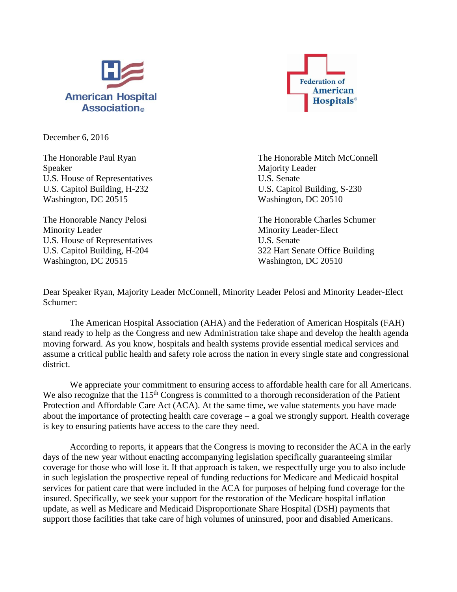



December 6, 2016

Speaker Majority Leader U.S. House of Representatives U.S. Senate U.S. Capitol Building, H-232 U.S. Capitol Building, S-230 Washington, DC 20515 Washington, DC 20510

Minority Leader Minority Leader-Elect U.S. House of Representatives U.S. Senate Washington, DC 20515 Washington, DC 20510

The Honorable Paul Ryan The Honorable Mitch McConnell

The Honorable Nancy Pelosi **The Honorable Charles Schumer** The Honorable Charles Schumer U.S. Capitol Building, H-204 322 Hart Senate Office Building

Dear Speaker Ryan, Majority Leader McConnell, Minority Leader Pelosi and Minority Leader-Elect Schumer:

The American Hospital Association (AHA) and the Federation of American Hospitals (FAH) stand ready to help as the Congress and new Administration take shape and develop the health agenda moving forward. As you know, hospitals and health systems provide essential medical services and assume a critical public health and safety role across the nation in every single state and congressional district.

We appreciate your commitment to ensuring access to affordable health care for all Americans. We also recognize that the 115<sup>th</sup> Congress is committed to a thorough reconsideration of the Patient Protection and Affordable Care Act (ACA). At the same time, we value statements you have made about the importance of protecting health care coverage – a goal we strongly support. Health coverage is key to ensuring patients have access to the care they need.

According to reports, it appears that the Congress is moving to reconsider the ACA in the early days of the new year without enacting accompanying legislation specifically guaranteeing similar coverage for those who will lose it. If that approach is taken, we respectfully urge you to also include in such legislation the prospective repeal of funding reductions for Medicare and Medicaid hospital services for patient care that were included in the ACA for purposes of helping fund coverage for the insured. Specifically, we seek your support for the restoration of the Medicare hospital inflation update, as well as Medicare and Medicaid Disproportionate Share Hospital (DSH) payments that support those facilities that take care of high volumes of uninsured, poor and disabled Americans.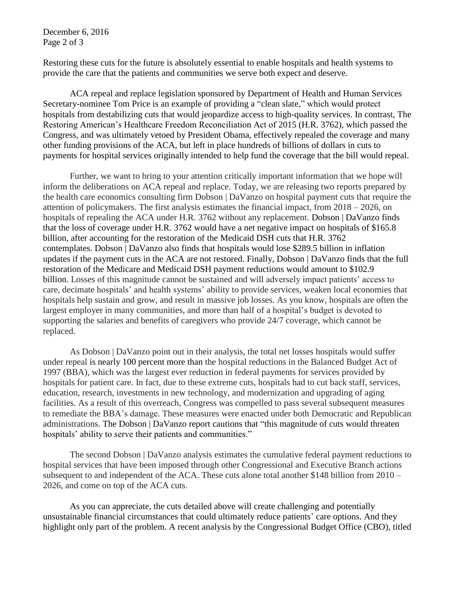December 6, 2016 Page 2 of 3

Restoring these cuts for the future is absolutely essential to enable hospitals and health systems to provide the care that the patients and communities we serve both expect and deserve.

ACA repeal and replace legislation sponsored by Department of Health and Human Services Secretary-nominee Tom Price is an example of providing a "clean slate," which would protect hospitals from destabilizing cuts that would jeopardize access to high-quality services. In contrast, The Restoring American's Healthcare Freedom Reconciliation Act of 2015 (H.R. 3762), which passed the Congress, and was ultimately vetoed by President Obama, effectively repealed the coverage and many other funding provisions of the ACA, but left in place hundreds of billions of dollars in cuts to payments for hospital services originally intended to help fund the coverage that the bill would repeal.

Further, we want to bring to your attention critically important information that we hope will inform the deliberations on ACA repeal and replace. Today, we are releasing two reports prepared by the health care economics consulting firm Dobson | DaVanzo on hospital payment cuts that require the attention of policymakers. The first analysis estimates the financial impact, from 2018 – 2026, on hospitals of repealing the ACA under H.R. 3762 without any replacement. Dobson | DaVanzo finds that the loss of coverage under H.R. 3762 would have a net negative impact on hospitals of \$165.8 billion, after accounting for the restoration of the Medicaid DSH cuts that H.R. 3762 contemplates. Dobson | DaVanzo also finds that hospitals would lose \$289.5 billion in inflation updates if the payment cuts in the ACA are not restored. Finally, Dobson | DaVanzo finds that the full restoration of the Medicare and Medicaid DSH payment reductions would amount to \$102.9 billion. Losses of this magnitude cannot be sustained and will adversely impact patients' access to care, decimate hospitals' and health systems' ability to provide services, weaken local economies that hospitals help sustain and grow, and result in massive job losses. As you know, hospitals are often the largest employer in many communities, and more than half of a hospital's budget is devoted to supporting the salaries and benefits of caregivers who provide 24/7 coverage, which cannot be replaced.

As Dobson | DaVanzo point out in their analysis, the total net losses hospitals would suffer under repeal is nearly 100 percent more than the hospital reductions in the Balanced Budget Act of 1997 (BBA), which was the largest ever reduction in federal payments for services provided by hospitals for patient care. In fact, due to these extreme cuts, hospitals had to cut back staff, services, education, research, investments in new technology, and modernization and upgrading of aging facilities. As a result of this overreach, Congress was compelled to pass several subsequent measures to remediate the BBA's damage. These measures were enacted under both Democratic and Republican administrations. The Dobson | DaVanzo report cautions that "this magnitude of cuts would threaten hospitals' ability to serve their patients and communities."

The second Dobson | DaVanzo analysis estimates the cumulative federal payment reductions to hospital services that have been imposed through other Congressional and Executive Branch actions subsequent to and independent of the ACA. These cuts alone total another \$148 billion from 2010 – 2026, and come on top of the ACA cuts.

As you can appreciate, the cuts detailed above will create challenging and potentially unsustainable financial circumstances that could ultimately reduce patients' care options. And they highlight only part of the problem. A recent analysis by the Congressional Budget Office (CBO), titled